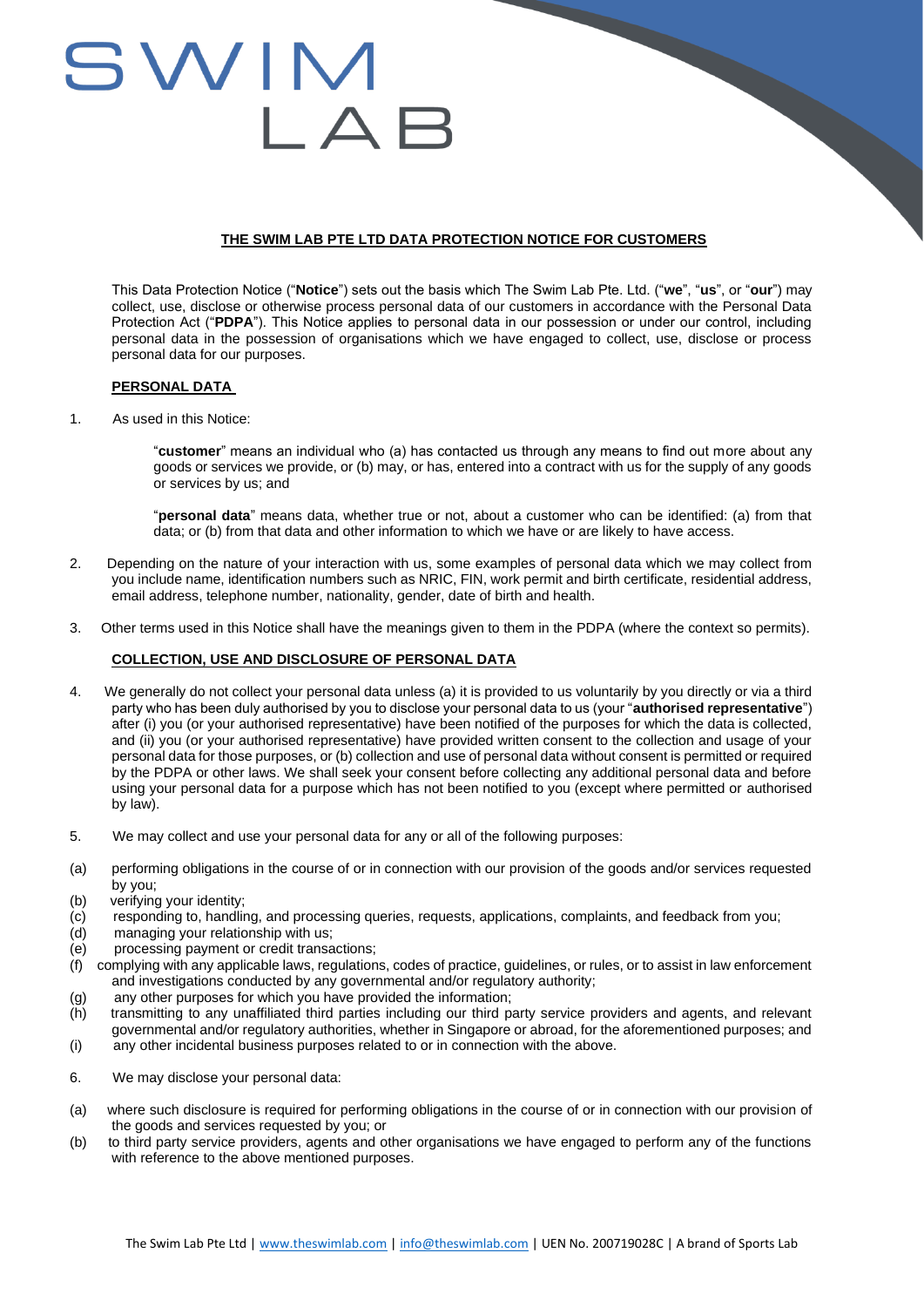# SWIM

# **THE SWIM LAB PTE LTD DATA PROTECTION NOTICE FOR CUSTOMERS**

This Data Protection Notice ("**Notice**") sets out the basis which The Swim Lab Pte. Ltd. ("**we**", "**us**", or "**our**") may collect, use, disclose or otherwise process personal data of our customers in accordance with the Personal Data Protection Act ("**PDPA**"). This Notice applies to personal data in our possession or under our control, including personal data in the possession of organisations which we have engaged to collect, use, disclose or process personal data for our purposes.

### **PERSONAL DATA**

1. As used in this Notice:

"**customer**" means an individual who (a) has contacted us through any means to find out more about any goods or services we provide, or (b) may, or has, entered into a contract with us for the supply of any goods or services by us; and

"**personal data**" means data, whether true or not, about a customer who can be identified: (a) from that data; or (b) from that data and other information to which we have or are likely to have access.

- 2. Depending on the nature of your interaction with us, some examples of personal data which we may collect from you include name, identification numbers such as NRIC, FIN, work permit and birth certificate, residential address, email address, telephone number, nationality, gender, date of birth and health.
- 3. Other terms used in this Notice shall have the meanings given to them in the PDPA (where the context so permits).

# **COLLECTION, USE AND DISCLOSURE OF PERSONAL DATA**

- 4. We generally do not collect your personal data unless (a) it is provided to us voluntarily by you directly or via a third party who has been duly authorised by you to disclose your personal data to us (your "**authorised representative**") after (i) you (or your authorised representative) have been notified of the purposes for which the data is collected, and (ii) you (or your authorised representative) have provided written consent to the collection and usage of your personal data for those purposes, or (b) collection and use of personal data without consent is permitted or required by the PDPA or other laws. We shall seek your consent before collecting any additional personal data and before using your personal data for a purpose which has not been notified to you (except where permitted or authorised by law).
- 5. We may collect and use your personal data for any or all of the following purposes:
- (a) performing obligations in the course of or in connection with our provision of the goods and/or services requested by you;
- (b) verifying your identity;
- (c) responding to, handling, and processing queries, requests, applications, complaints, and feedback from you;
- (d) managing your relationship with us;
- (e) processing payment or credit transactions;
- (f) complying with any applicable laws, regulations, codes of practice, guidelines, or rules, or to assist in law enforcement and investigations conducted by any governmental and/or regulatory authority;
- (g) any other purposes for which you have provided the information;
- (h) transmitting to any unaffiliated third parties including our third party service providers and agents, and relevant governmental and/or regulatory authorities, whether in Singapore or abroad, for the aforementioned purposes; and
- (i) any other incidental business purposes related to or in connection with the above.
- 6. We may disclose your personal data:
- (a) where such disclosure is required for performing obligations in the course of or in connection with our provision of the goods and services requested by you; or
- (b) to third party service providers, agents and other organisations we have engaged to perform any of the functions with reference to the above mentioned purposes.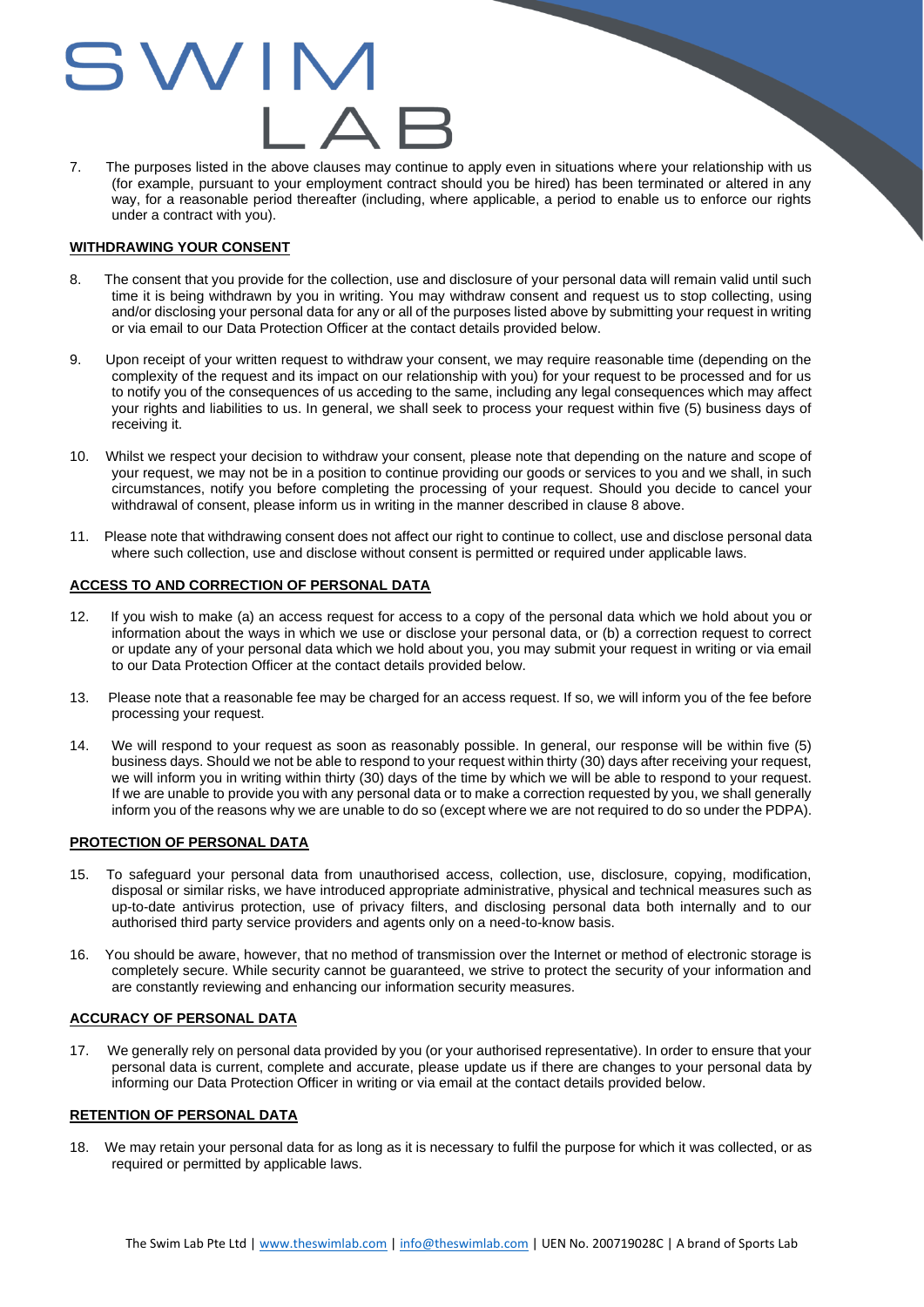# WIN

7. The purposes listed in the above clauses may continue to apply even in situations where your relationship with us (for example, pursuant to your employment contract should you be hired) has been terminated or altered in any way, for a reasonable period thereafter (including, where applicable, a period to enable us to enforce our rights under a contract with you).

### **WITHDRAWING YOUR CONSENT**

- 8. The consent that you provide for the collection, use and disclosure of your personal data will remain valid until such time it is being withdrawn by you in writing. You may withdraw consent and request us to stop collecting, using and/or disclosing your personal data for any or all of the purposes listed above by submitting your request in writing or via email to our Data Protection Officer at the contact details provided below.
- 9. Upon receipt of your written request to withdraw your consent, we may require reasonable time (depending on the complexity of the request and its impact on our relationship with you) for your request to be processed and for us to notify you of the consequences of us acceding to the same, including any legal consequences which may affect your rights and liabilities to us. In general, we shall seek to process your request within five (5) business days of receiving it.
- 10. Whilst we respect your decision to withdraw your consent, please note that depending on the nature and scope of your request, we may not be in a position to continue providing our goods or services to you and we shall, in such circumstances, notify you before completing the processing of your request. Should you decide to cancel your withdrawal of consent, please inform us in writing in the manner described in clause 8 above.
- 11. Please note that withdrawing consent does not affect our right to continue to collect, use and disclose personal data where such collection, use and disclose without consent is permitted or required under applicable laws.

# **ACCESS TO AND CORRECTION OF PERSONAL DATA**

- 12. If you wish to make (a) an access request for access to a copy of the personal data which we hold about you or information about the ways in which we use or disclose your personal data, or (b) a correction request to correct or update any of your personal data which we hold about you, you may submit your request in writing or via email to our Data Protection Officer at the contact details provided below.
- 13. Please note that a reasonable fee may be charged for an access request. If so, we will inform you of the fee before processing your request.
- 14. We will respond to your request as soon as reasonably possible. In general, our response will be within five (5) business days. Should we not be able to respond to your request within thirty (30) days after receiving your request, we will inform you in writing within thirty (30) days of the time by which we will be able to respond to your request. If we are unable to provide you with any personal data or to make a correction requested by you, we shall generally inform you of the reasons why we are unable to do so (except where we are not required to do so under the PDPA).

# **PROTECTION OF PERSONAL DATA**

- 15. To safeguard your personal data from unauthorised access, collection, use, disclosure, copying, modification, disposal or similar risks, we have introduced appropriate administrative, physical and technical measures such as up-to-date antivirus protection, use of privacy filters, and disclosing personal data both internally and to our authorised third party service providers and agents only on a need-to-know basis.
- 16. You should be aware, however, that no method of transmission over the Internet or method of electronic storage is completely secure. While security cannot be guaranteed, we strive to protect the security of your information and are constantly reviewing and enhancing our information security measures.

# **ACCURACY OF PERSONAL DATA**

17. We generally rely on personal data provided by you (or your authorised representative). In order to ensure that your personal data is current, complete and accurate, please update us if there are changes to your personal data by informing our Data Protection Officer in writing or via email at the contact details provided below.

### **RETENTION OF PERSONAL DATA**

18. We may retain your personal data for as long as it is necessary to fulfil the purpose for which it was collected, or as required or permitted by applicable laws.